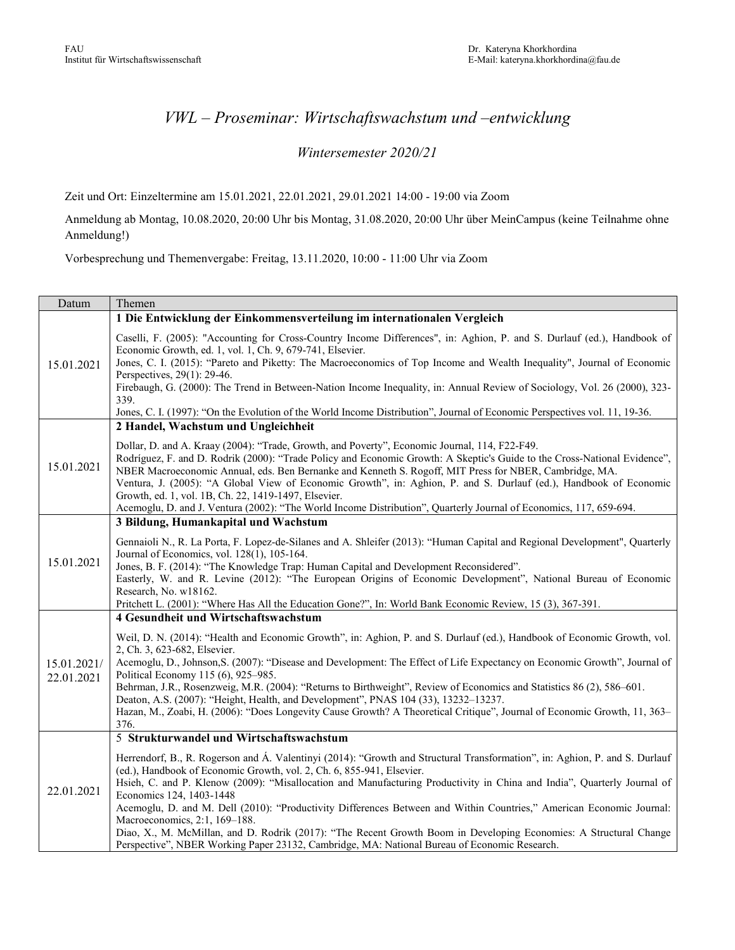## *VWL – Proseminar: Wirtschaftswachstum und –entwicklung*

## *Wintersemester 2020/21*

Zeit und Ort: Einzeltermine am 15.01.2021, 22.01.2021, 29.01.2021 14:00 - 19:00 via Zoom

Anmeldung ab Montag, 10.08.2020, 20:00 Uhr bis Montag, 31.08.2020, 20:00 Uhr über MeinCampus (keine Teilnahme ohne Anmeldung!)

Vorbesprechung und Themenvergabe: Freitag, 13.11.2020, 10:00 - 11:00 Uhr via Zoom

| Datum                     | Themen                                                                                                                                                                                                                                                                                                                                                                                                                                                                                                                                                                                                                                  |
|---------------------------|-----------------------------------------------------------------------------------------------------------------------------------------------------------------------------------------------------------------------------------------------------------------------------------------------------------------------------------------------------------------------------------------------------------------------------------------------------------------------------------------------------------------------------------------------------------------------------------------------------------------------------------------|
|                           | 1 Die Entwicklung der Einkommensverteilung im internationalen Vergleich                                                                                                                                                                                                                                                                                                                                                                                                                                                                                                                                                                 |
| 15.01.2021                | Caselli, F. (2005): "Accounting for Cross-Country Income Differences", in: Aghion, P. and S. Durlauf (ed.), Handbook of<br>Economic Growth, ed. 1, vol. 1, Ch. 9, 679-741, Elsevier.<br>Jones, C. I. (2015): "Pareto and Piketty: The Macroeconomics of Top Income and Wealth Inequality", Journal of Economic                                                                                                                                                                                                                                                                                                                          |
|                           | Perspectives, 29(1): 29-46.                                                                                                                                                                                                                                                                                                                                                                                                                                                                                                                                                                                                             |
|                           | Firebaugh, G. (2000): The Trend in Between-Nation Income Inequality, in: Annual Review of Sociology, Vol. 26 (2000), 323-<br>339.                                                                                                                                                                                                                                                                                                                                                                                                                                                                                                       |
|                           | Jones, C. I. (1997): "On the Evolution of the World Income Distribution", Journal of Economic Perspectives vol. 11, 19-36.                                                                                                                                                                                                                                                                                                                                                                                                                                                                                                              |
| 15.01.2021                | 2 Handel, Wachstum und Ungleichheit                                                                                                                                                                                                                                                                                                                                                                                                                                                                                                                                                                                                     |
|                           | Dollar, D. and A. Kraay (2004): "Trade, Growth, and Poverty", Economic Journal, 114, F22-F49.<br>Rodríguez, F. and D. Rodrik (2000): "Trade Policy and Economic Growth: A Skeptic's Guide to the Cross-National Evidence",<br>NBER Macroeconomic Annual, eds. Ben Bernanke and Kenneth S. Rogoff, MIT Press for NBER, Cambridge, MA.<br>Ventura, J. (2005): "A Global View of Economic Growth", in: Aghion, P. and S. Durlauf (ed.), Handbook of Economic<br>Growth, ed. 1, vol. 1B, Ch. 22, 1419-1497, Elsevier.<br>Acemoglu, D. and J. Ventura (2002): "The World Income Distribution", Quarterly Journal of Economics, 117, 659-694. |
|                           | 3 Bildung, Humankapital und Wachstum                                                                                                                                                                                                                                                                                                                                                                                                                                                                                                                                                                                                    |
| 15.01.2021                | Gennaioli N., R. La Porta, F. Lopez-de-Silanes and A. Shleifer (2013): "Human Capital and Regional Development", Quarterly<br>Journal of Economics, vol. 128(1), 105-164.<br>Jones, B. F. (2014): "The Knowledge Trap: Human Capital and Development Reconsidered".<br>Easterly, W. and R. Levine (2012): "The European Origins of Economic Development", National Bureau of Economic<br>Research, No. w18162.<br>Pritchett L. (2001): "Where Has All the Education Gone?", In: World Bank Economic Review, 15 (3), 367-391.                                                                                                            |
|                           | 4 Gesundheit und Wirtschaftswachstum                                                                                                                                                                                                                                                                                                                                                                                                                                                                                                                                                                                                    |
| 15.01.2021/<br>22.01.2021 | Weil, D. N. (2014): "Health and Economic Growth", in: Aghion, P. and S. Durlauf (ed.), Handbook of Economic Growth, vol.<br>2, Ch. 3, 623-682, Elsevier.<br>Acemoglu, D., Johnson, S. (2007): "Disease and Development: The Effect of Life Expectancy on Economic Growth", Journal of<br>Political Economy 115 (6), 925–985.                                                                                                                                                                                                                                                                                                            |
|                           | Behrman, J.R., Rosenzweig, M.R. (2004): "Returns to Birthweight", Review of Economics and Statistics 86 (2), 586–601.                                                                                                                                                                                                                                                                                                                                                                                                                                                                                                                   |
|                           | Deaton, A.S. (2007): "Height, Health, and Development", PNAS 104 (33), 13232-13237.<br>Hazan, M., Zoabi, H. (2006): "Does Longevity Cause Growth? A Theoretical Critique", Journal of Economic Growth, 11, 363–<br>376.                                                                                                                                                                                                                                                                                                                                                                                                                 |
| 22.01.2021                | 5 Strukturwandel und Wirtschaftswachstum                                                                                                                                                                                                                                                                                                                                                                                                                                                                                                                                                                                                |
|                           | Herrendorf, B., R. Rogerson and Á. Valentinyi (2014): "Growth and Structural Transformation", in: Aghion, P. and S. Durlauf<br>(ed.), Handbook of Economic Growth, vol. 2, Ch. 6, 855-941, Elsevier.<br>Hsieh, C. and P. Klenow (2009): "Misallocation and Manufacturing Productivity in China and India", Quarterly Journal of<br>Economics 124, 1403-1448<br>Acemoglu, D. and M. Dell (2010): "Productivity Differences Between and Within Countries," American Economic Journal:                                                                                                                                                     |
|                           | Macroeconomics, 2:1, 169-188.<br>Diao, X., M. McMillan, and D. Rodrik (2017): "The Recent Growth Boom in Developing Economies: A Structural Change<br>Perspective", NBER Working Paper 23132, Cambridge, MA: National Bureau of Economic Research.                                                                                                                                                                                                                                                                                                                                                                                      |